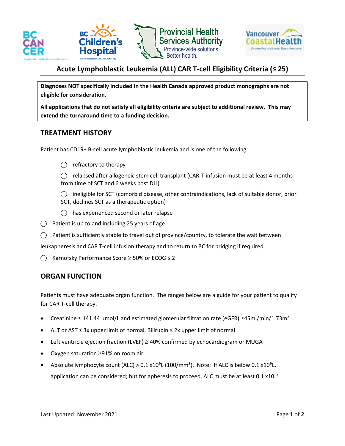



# **Acute Lymphoblastic Leukemia (ALL) CAR T-cell Eligibility Criteria (≤ 25)**

**Diagnoses NOT specifically included in the Health Canada approved product monographs are not eligible for consideration.** 

**All applications that do not satisfy all eligibility criteria are subject to additional review. This may extend the turnaround time to a funding decision.**

#### **TREATMENT HISTORY**

Patient has CD19+ B-cell acute lymphoblastic leukemia and is one of the following:

 $\bigcap$  refractory to therapy

 $\bigcirc$  relapsed after allogeneic stem cell transplant (CAR-T infusion must be at least 4 months from time of SCT and 6 weeks post DLI)

 $\bigcirc$  ineligible for SCT (comorbid disease, other contraindications, lack of suitable donor, prior SCT, declines SCT as a therapeutic option)

- $\bigcap$  has experienced second or later relapse
- $\bigcirc$  Patient is up to and including 25 years of age
- $\bigcirc$  Patient is sufficiently stable to travel out of province/country, to tolerate the wait between

leukapheresis and CAR T-cell infusion therapy and to return to BC for bridging if required

⃝ Karnofsky Performance Score ≥ 50% or ECOG ≤ 2

### **ORGAN FUNCTION**

Patients must have adequate organ function. The ranges below are a guide for your patient to qualify for CAR T-cell therapy.

- Creatinine  $\leq 141.44$  µmol/L and estimated glomerular filtration rate (eGFR)  $\geq$ 45ml/min/1.73m<sup>2</sup>
- ALT or AST ≤ 3x upper limit of normal, Bilirubin ≤ 2x upper limit of normal
- Left ventricle ejection fraction (LVEF)  $\geq$  40% confirmed by echocardiogram or MUGA
- Oxygen saturation ≥91% on room air
- Absolute lymphocyte count (ALC) >  $0.1 \times 10^{9}$ L (100/mm<sup>3</sup>). Note: If ALC is below  $0.1 \times 10^{9}$ L, application can be considered; but for apheresis to proceed, ALC must be at least 0.1  $\times$  10<sup>9</sup>